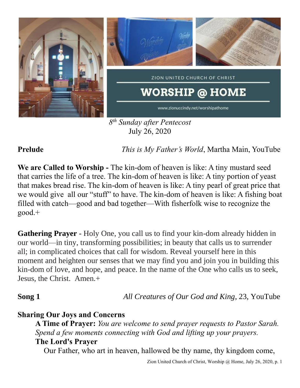

July 26, 2020

**Prelude** *This is My Father's World*, Martha Main, YouTube

**We are Called to Worship -** The kin-dom of heaven is like: A tiny mustard seed that carries the life of a tree. The kin-dom of heaven is like: A tiny portion of yeast that makes bread rise. The kin-dom of heaven is like: A tiny pearl of great price that we would give all our "stuff" to have. The kin-dom of heaven is like: A fishing boat filled with catch—good and bad together—With fisherfolk wise to recognize the good.+

**Gathering Prayer** - Holy One, you call us to find your kin-dom already hidden in our world—in tiny, transforming possibilities; in beauty that calls us to surrender all; in complicated choices that call for wisdom. Reveal yourself here in this moment and heighten our senses that we may find you and join you in building this kin-dom of love, and hope, and peace. In the name of the One who calls us to seek, Jesus, the Christ. Amen.+

**Song 1** *All Creatures of Our God and King*, 23, YouTube

## **Sharing Our Joys and Concerns**

**A Time of Prayer:** *You are welcome to send prayer requests to Pastor Sarah. Spend a few moments connecting with God and lifting up your prayers.* **The Lord's Prayer**

Our Father, who art in heaven, hallowed be thy name, thy kingdom come,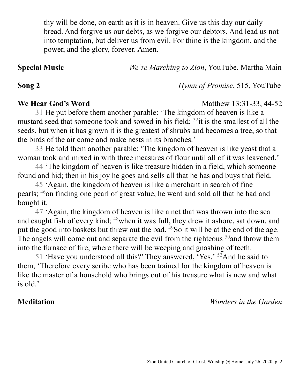thy will be done, on earth as it is in heaven. Give us this day our daily bread. And forgive us our debts, as we forgive our debtors. And lead us not into temptation, but deliver us from evil. For thine is the kingdom, and the power, and the glory, forever. Amen.

**Special Music** *We're Marching to Zion*, YouTube, Martha Main

**Song 2** *Hymn of Promise*, 515, YouTube

**We Hear God's Word** Matthew 13:31-33, 44-52

31 He put before them another parable: 'The kingdom of heaven is like a mustard seed that someone took and sowed in his field;  $32$  it is the smallest of all the seeds, but when it has grown it is the greatest of shrubs and becomes a tree, so that the birds of the air come and make nests in its branches.'

33 He told them another parable: 'The kingdom of heaven is like yeast that a woman took and mixed in with three measures of flour until all of it was leavened.'

44 'The kingdom of heaven is like treasure hidden in a field, which someone found and hid; then in his joy he goes and sells all that he has and buys that field.

45 'Again, the kingdom of heaven is like a merchant in search of fine pearls; <sup>46</sup>on finding one pearl of great value, he went and sold all that he had and bought it.

47 'Again, the kingdom of heaven is like a net that was thrown into the sea and caught fish of every kind; <sup>48</sup>when it was full, they drew it ashore, sat down, and put the good into baskets but threw out the bad.  $^{49}$ So it will be at the end of the age. The angels will come out and separate the evil from the righteous  $50$  and throw them into the furnace of fire, where there will be weeping and gnashing of teeth.

51 'Have you understood all this?' They answered, 'Yes.'  $52$ And he said to them, 'Therefore every scribe who has been trained for the kingdom of heaven is like the master of a household who brings out of his treasure what is new and what is old.'

**Meditation** *Wonders in the Garden*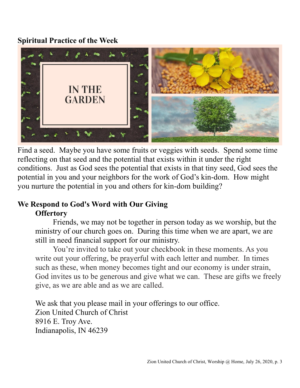## **Spiritual Practice of the Week**



Find a seed. Maybe you have some fruits or veggies with seeds. Spend some time reflecting on that seed and the potential that exists within it under the right conditions. Just as God sees the potential that exists in that tiny seed, God sees the potential in you and your neighbors for the work of God's kin-dom. How might you nurture the potential in you and others for kin-dom building?

# **We Respond to God's Word with Our Giving Offertory**

Friends, we may not be together in person today as we worship, but the ministry of our church goes on. During this time when we are apart, we are still in need financial support for our ministry.

You're invited to take out your checkbook in these moments. As you write out your offering, be prayerful with each letter and number. In times such as these, when money becomes tight and our economy is under strain, God invites us to be generous and give what we can. These are gifts we freely give, as we are able and as we are called.

We ask that you please mail in your offerings to our office. Zion United Church of Christ 8916 E. Troy Ave. Indianapolis, IN 46239